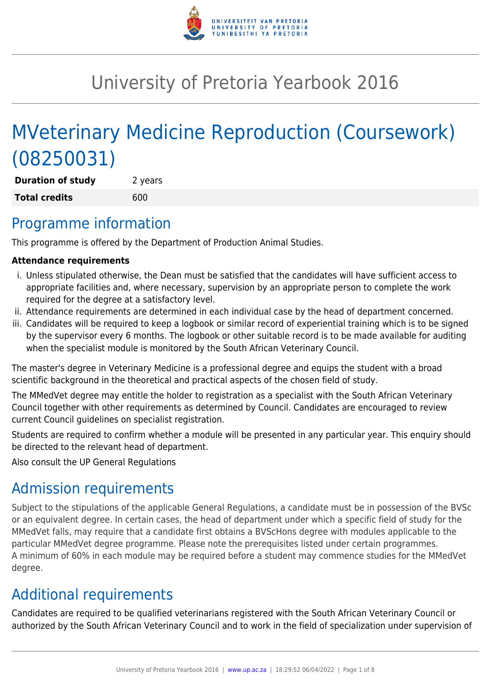

# University of Pretoria Yearbook 2016

# MVeterinary Medicine Reproduction (Coursework) (08250031)

**Duration of study** 2 years **Total credits** 600

# Programme information

This programme is offered by the Department of Production Animal Studies.

# **Attendance requirements**

- i. Unless stipulated otherwise, the Dean must be satisfied that the candidates will have sufficient access to appropriate facilities and, where necessary, supervision by an appropriate person to complete the work required for the degree at a satisfactory level.
- ii. Attendance requirements are determined in each individual case by the head of department concerned.
- iii. Candidates will be required to keep a logbook or similar record of experiential training which is to be signed by the supervisor every 6 months. The logbook or other suitable record is to be made available for auditing when the specialist module is monitored by the South African Veterinary Council.

The master's degree in Veterinary Medicine is a professional degree and equips the student with a broad scientific background in the theoretical and practical aspects of the chosen field of study.

The MMedVet degree may entitle the holder to registration as a specialist with the South African Veterinary Council together with other requirements as determined by Council. Candidates are encouraged to review current Council guidelines on specialist registration.

Students are required to confirm whether a module will be presented in any particular year. This enquiry should be directed to the relevant head of department.

Also consult the UP General Regulations

# Admission requirements

Subject to the stipulations of the applicable General Regulations, a candidate must be in possession of the BVSc or an equivalent degree. In certain cases, the head of department under which a specific field of study for the MMedVet falls, may require that a candidate first obtains a BVScHons degree with modules applicable to the particular MMedVet degree programme. Please note the prerequisites listed under certain programmes. A minimum of 60% in each module may be required before a student may commence studies for the MMedVet degree.

# Additional requirements

Candidates are required to be qualified veterinarians registered with the South African Veterinary Council or authorized by the South African Veterinary Council and to work in the field of specialization under supervision of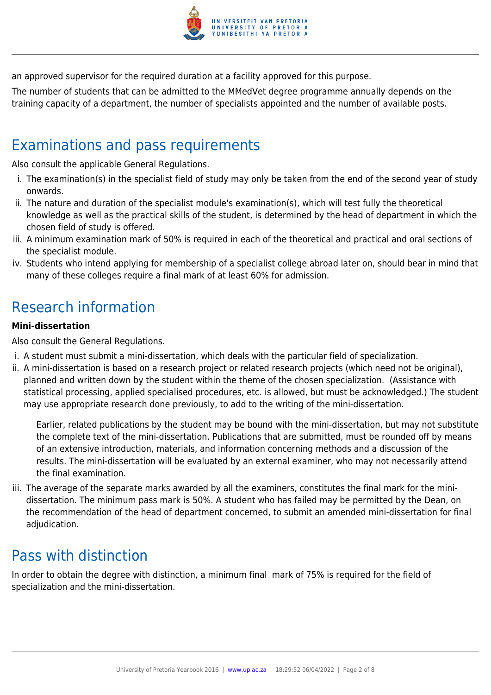

an approved supervisor for the required duration at a facility approved for this purpose.

The number of students that can be admitted to the MMedVet degree programme annually depends on the training capacity of a department, the number of specialists appointed and the number of available posts.

# Examinations and pass requirements

Also consult the applicable General Regulations.

- i. The examination(s) in the specialist field of study may only be taken from the end of the second year of study onwards.
- ii. The nature and duration of the specialist module's examination(s), which will test fully the theoretical knowledge as well as the practical skills of the student, is determined by the head of department in which the chosen field of study is offered.
- iii. A minimum examination mark of 50% is required in each of the theoretical and practical and oral sections of the specialist module.
- iv. Students who intend applying for membership of a specialist college abroad later on, should bear in mind that many of these colleges require a final mark of at least 60% for admission.

# Research information

# **Mini-dissertation**

Also consult the General Regulations.

- i. A student must submit a mini-dissertation, which deals with the particular field of specialization.
- ii. A mini-dissertation is based on a research project or related research projects (which need not be original), planned and written down by the student within the theme of the chosen specialization. (Assistance with statistical processing, applied specialised procedures, etc. is allowed, but must be acknowledged.) The student may use appropriate research done previously, to add to the writing of the mini-dissertation.

Earlier, related publications by the student may be bound with the mini-dissertation, but may not substitute the complete text of the mini-dissertation. Publications that are submitted, must be rounded off by means of an extensive introduction, materials, and information concerning methods and a discussion of the results. The mini-dissertation will be evaluated by an external examiner, who may not necessarily attend the final examination.

iii. The average of the separate marks awarded by all the examiners, constitutes the final mark for the minidissertation. The minimum pass mark is 50%. A student who has failed may be permitted by the Dean, on the recommendation of the head of department concerned, to submit an amended mini-dissertation for final adiudication.

# Pass with distinction

In order to obtain the degree with distinction, a minimum final mark of 75% is required for the field of specialization and the mini-dissertation.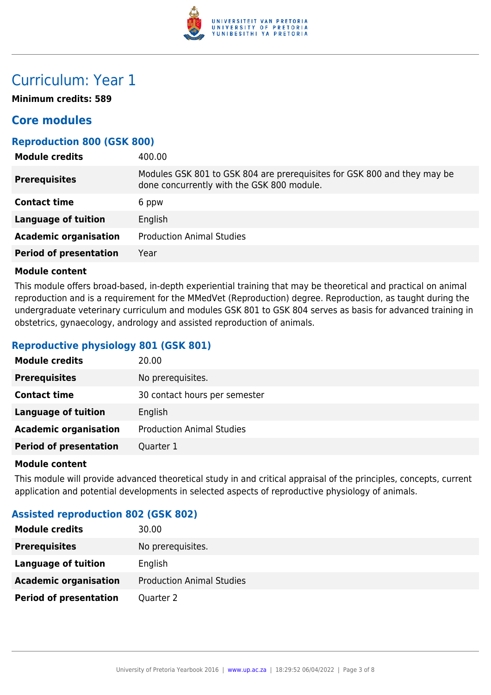

# Curriculum: Year 1

**Minimum credits: 589**

# **Core modules**

# **Reproduction 800 (GSK 800)**

| Modules GSK 801 to GSK 804 are prerequisites for GSK 800 and they may be<br><b>Prerequisites</b><br>done concurrently with the GSK 800 module. |
|------------------------------------------------------------------------------------------------------------------------------------------------|
|                                                                                                                                                |
| <b>Contact time</b><br>6 ppw                                                                                                                   |
| <b>Language of tuition</b><br>English                                                                                                          |
| <b>Academic organisation</b><br><b>Production Animal Studies</b>                                                                               |
| <b>Period of presentation</b><br>Year                                                                                                          |

#### **Module content**

This module offers broad-based, in-depth experiential training that may be theoretical and practical on animal reproduction and is a requirement for the MMedVet (Reproduction) degree. Reproduction, as taught during the undergraduate veterinary curriculum and modules GSK 801 to GSK 804 serves as basis for advanced training in obstetrics, gynaecology, andrology and assisted reproduction of animals.

# **Reproductive physiology 801 (GSK 801)**

| <b>Module credits</b>         | 20.00                            |
|-------------------------------|----------------------------------|
| <b>Prerequisites</b>          | No prerequisites.                |
| <b>Contact time</b>           | 30 contact hours per semester    |
| <b>Language of tuition</b>    | English                          |
| <b>Academic organisation</b>  | <b>Production Animal Studies</b> |
| <b>Period of presentation</b> | Quarter 1                        |

#### **Module content**

This module will provide advanced theoretical study in and critical appraisal of the principles, concepts, current application and potential developments in selected aspects of reproductive physiology of animals.

# **Assisted reproduction 802 (GSK 802)**

| 30.00                            |
|----------------------------------|
| No prerequisites.                |
| English                          |
| <b>Production Animal Studies</b> |
| Quarter 2                        |
|                                  |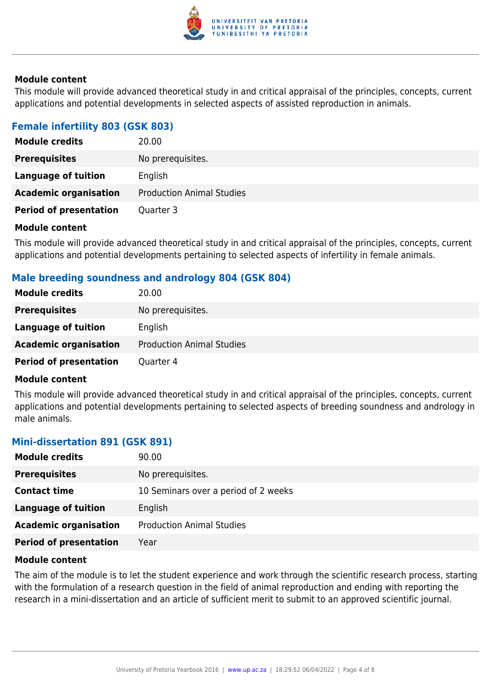

## **Module content**

This module will provide advanced theoretical study in and critical appraisal of the principles, concepts, current applications and potential developments in selected aspects of assisted reproduction in animals.

# **Female infertility 803 (GSK 803)**

| <b>Module credits</b>         | 20.00                            |
|-------------------------------|----------------------------------|
| <b>Prerequisites</b>          | No prerequisites.                |
| Language of tuition           | English                          |
| <b>Academic organisation</b>  | <b>Production Animal Studies</b> |
| <b>Period of presentation</b> | Quarter 3                        |

### **Module content**

This module will provide advanced theoretical study in and critical appraisal of the principles, concepts, current applications and potential developments pertaining to selected aspects of infertility in female animals.

# **Male breeding soundness and andrology 804 (GSK 804)**

| <b>Module credits</b>         | 20.00                            |
|-------------------------------|----------------------------------|
| <b>Prerequisites</b>          | No prerequisites.                |
| Language of tuition           | English                          |
| <b>Academic organisation</b>  | <b>Production Animal Studies</b> |
| <b>Period of presentation</b> | Quarter 4                        |

### **Module content**

This module will provide advanced theoretical study in and critical appraisal of the principles, concepts, current applications and potential developments pertaining to selected aspects of breeding soundness and andrology in male animals.

### **Mini-dissertation 891 (GSK 891)**

| <b>Module credits</b>         | 90.00                                |
|-------------------------------|--------------------------------------|
| <b>Prerequisites</b>          | No prerequisites.                    |
| <b>Contact time</b>           | 10 Seminars over a period of 2 weeks |
| <b>Language of tuition</b>    | English                              |
| <b>Academic organisation</b>  | <b>Production Animal Studies</b>     |
| <b>Period of presentation</b> | Year                                 |

#### **Module content**

The aim of the module is to let the student experience and work through the scientific research process, starting with the formulation of a research question in the field of animal reproduction and ending with reporting the research in a mini-dissertation and an article of sufficient merit to submit to an approved scientific journal.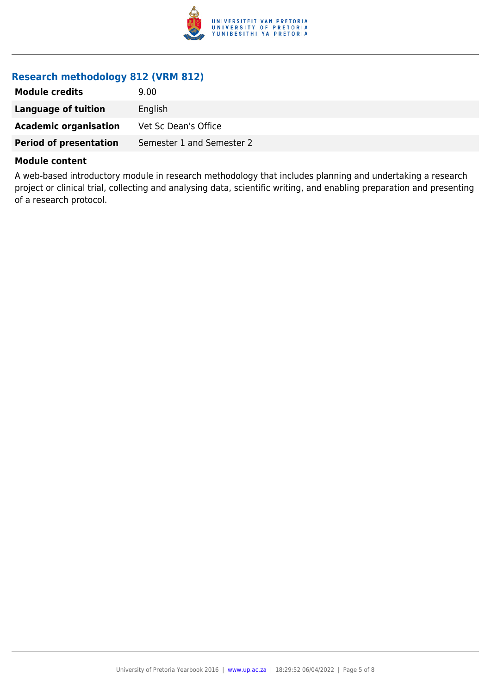

# **Research methodology 812 (VRM 812)**

| <b>Module credits</b>         | 9.00                      |
|-------------------------------|---------------------------|
| Language of tuition           | English                   |
| <b>Academic organisation</b>  | Vet Sc Dean's Office      |
| <b>Period of presentation</b> | Semester 1 and Semester 2 |

#### **Module content**

A web-based introductory module in research methodology that includes planning and undertaking a research project or clinical trial, collecting and analysing data, scientific writing, and enabling preparation and presenting of a research protocol.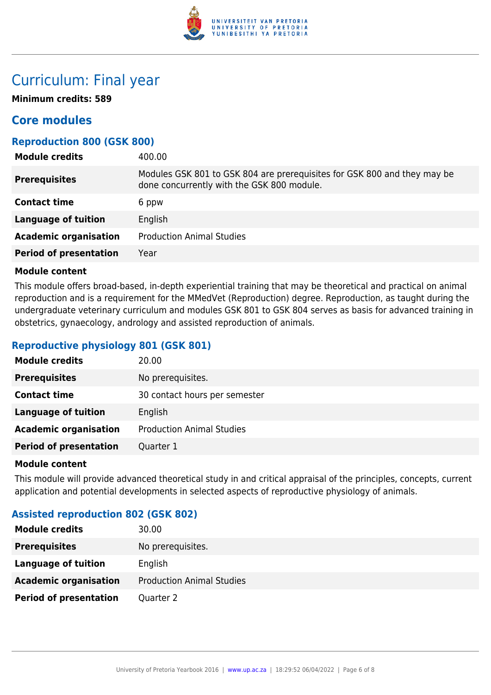

# Curriculum: Final year

## **Minimum credits: 589**

# **Core modules**

# **Reproduction 800 (GSK 800)**

| Module credits                | 400.00                                                                                                                 |
|-------------------------------|------------------------------------------------------------------------------------------------------------------------|
| <b>Prerequisites</b>          | Modules GSK 801 to GSK 804 are prerequisites for GSK 800 and they may be<br>done concurrently with the GSK 800 module. |
| <b>Contact time</b>           | 6 ppw                                                                                                                  |
| <b>Language of tuition</b>    | English                                                                                                                |
| <b>Academic organisation</b>  | <b>Production Animal Studies</b>                                                                                       |
| <b>Period of presentation</b> | Year                                                                                                                   |
|                               |                                                                                                                        |

#### **Module content**

This module offers broad-based, in-depth experiential training that may be theoretical and practical on animal reproduction and is a requirement for the MMedVet (Reproduction) degree. Reproduction, as taught during the undergraduate veterinary curriculum and modules GSK 801 to GSK 804 serves as basis for advanced training in obstetrics, gynaecology, andrology and assisted reproduction of animals.

# **Reproductive physiology 801 (GSK 801)**

| <b>Module credits</b>         | 20.00                            |
|-------------------------------|----------------------------------|
| <b>Prerequisites</b>          | No prerequisites.                |
| <b>Contact time</b>           | 30 contact hours per semester    |
| <b>Language of tuition</b>    | English                          |
| <b>Academic organisation</b>  | <b>Production Animal Studies</b> |
| <b>Period of presentation</b> | Quarter 1                        |

#### **Module content**

This module will provide advanced theoretical study in and critical appraisal of the principles, concepts, current application and potential developments in selected aspects of reproductive physiology of animals.

# **Assisted reproduction 802 (GSK 802)**

| 30.00                            |
|----------------------------------|
| No prerequisites.                |
| English                          |
| <b>Production Animal Studies</b> |
| Quarter 2                        |
|                                  |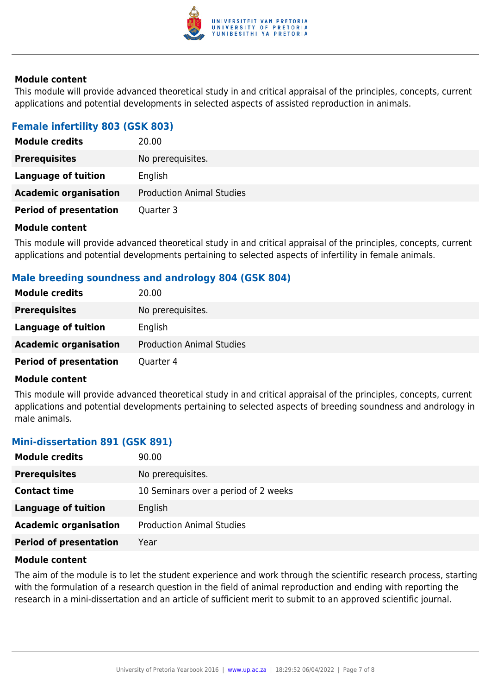

## **Module content**

This module will provide advanced theoretical study in and critical appraisal of the principles, concepts, current applications and potential developments in selected aspects of assisted reproduction in animals.

# **Female infertility 803 (GSK 803)**

| <b>Module credits</b>         | 20.00                            |
|-------------------------------|----------------------------------|
| <b>Prerequisites</b>          | No prerequisites.                |
| Language of tuition           | English                          |
| <b>Academic organisation</b>  | <b>Production Animal Studies</b> |
| <b>Period of presentation</b> | Quarter 3                        |

### **Module content**

This module will provide advanced theoretical study in and critical appraisal of the principles, concepts, current applications and potential developments pertaining to selected aspects of infertility in female animals.

# **Male breeding soundness and andrology 804 (GSK 804)**

| <b>Module credits</b>         | 20.00                            |
|-------------------------------|----------------------------------|
| <b>Prerequisites</b>          | No prerequisites.                |
| Language of tuition           | English                          |
| <b>Academic organisation</b>  | <b>Production Animal Studies</b> |
| <b>Period of presentation</b> | Quarter 4                        |

### **Module content**

This module will provide advanced theoretical study in and critical appraisal of the principles, concepts, current applications and potential developments pertaining to selected aspects of breeding soundness and andrology in male animals.

### **Mini-dissertation 891 (GSK 891)**

| <b>Module credits</b>         | 90.00                                |
|-------------------------------|--------------------------------------|
| <b>Prerequisites</b>          | No prerequisites.                    |
| <b>Contact time</b>           | 10 Seminars over a period of 2 weeks |
| <b>Language of tuition</b>    | English                              |
| <b>Academic organisation</b>  | <b>Production Animal Studies</b>     |
| <b>Period of presentation</b> | Year                                 |

#### **Module content**

The aim of the module is to let the student experience and work through the scientific research process, starting with the formulation of a research question in the field of animal reproduction and ending with reporting the research in a mini-dissertation and an article of sufficient merit to submit to an approved scientific journal.